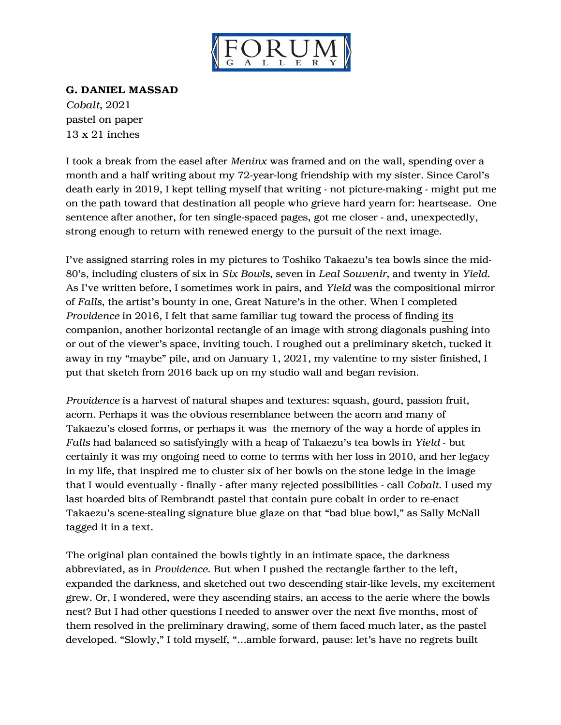

## G. DANIEL MASSAD

*Cobalt*, 2021 pastel on paper 13 x 21 inches

I took a break from the easel after *Meninx* was framed and on the wall, spending over a month and a half writing about my 72-year-long friendship with my sister. Since Carol's death early in 2019, I kept telling myself that writing - not picture-making - might put me on the path toward that destination all people who grieve hard yearn for: heartsease. One sentence after another, for ten single-spaced pages, got me closer - and, unexpectedly, strong enough to return with renewed energy to the pursuit of the next image.

I've assigned starring roles in my pictures to Toshiko Takaezu's tea bowls since the mid-80's, including clusters of six in *Six Bowls*, seven in *Leal Souvenir*, and twenty in *Yield*. As I've written before, I sometimes work in pairs, and *Yield* was the compositional mirror of *Falls*, the artist's bounty in one, Great Nature's in the other. When I completed *Providence* in 2016, I felt that same familiar tug toward the process of finding its companion, another horizontal rectangle of an image with strong diagonals pushing into or out of the viewer's space, inviting touch. I roughed out a preliminary sketch, tucked it away in my "maybe" pile, and on January 1, 2021, my valentine to my sister finished, I put that sketch from 2016 back up on my studio wall and began revision.

*Providence* is a harvest of natural shapes and textures: squash, gourd, passion fruit, acorn. Perhaps it was the obvious resemblance between the acorn and many of Takaezu's closed forms, or perhaps it was the memory of the way a horde of apples in *Falls* had balanced so satisfyingly with a heap of Takaezu's tea bowls in *Yield* - but certainly it was my ongoing need to come to terms with her loss in 2010, and her legacy in my life, that inspired me to cluster six of her bowls on the stone ledge in the image that I would eventually - finally - after many rejected possibilities - call *Cobalt*. I used my last hoarded bits of Rembrandt pastel that contain pure cobalt in order to re-enact Takaezu's scene-stealing signature blue glaze on that "bad blue bowl," as Sally McNall tagged it in a text.

The original plan contained the bowls tightly in an intimate space, the darkness abbreviated, as in *Providence*. But when I pushed the rectangle farther to the left, expanded the darkness, and sketched out two descending stair-like levels, my excitement grew. Or, I wondered, were they ascending stairs, an access to the aerie where the bowls nest? But I had other questions I needed to answer over the next five months, most of them resolved in the preliminary drawing, some of them faced much later, as the pastel developed. "Slowly," I told myself, "…amble forward, pause: let's have no regrets built